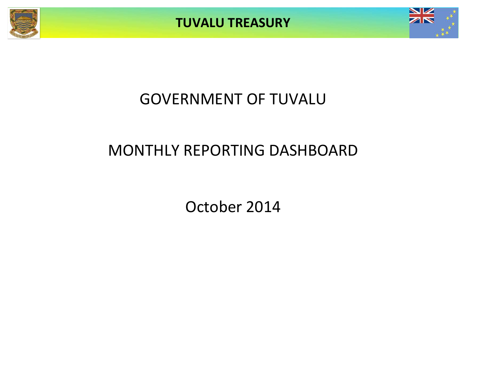



# GOVERNMENT OF TUVALU

# MONTHLY REPORTING DASHBOARD

October 2014

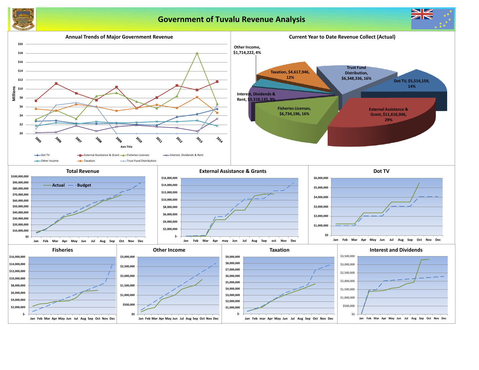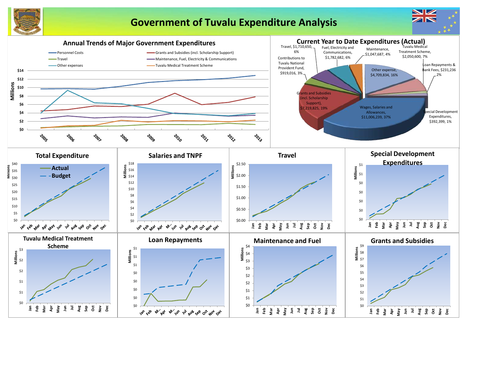

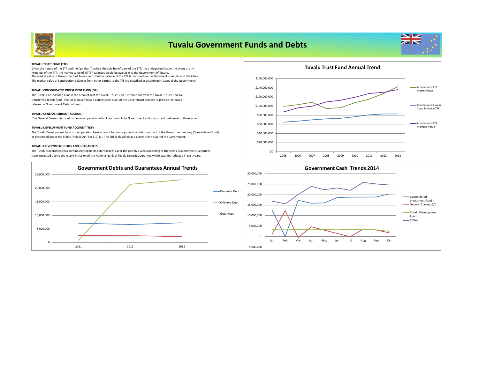

| <b>TUVALU TRUST FUND (TTF)</b>                                                                                                                                                                                                                  |               |  |
|-------------------------------------------------------------------------------------------------------------------------------------------------------------------------------------------------------------------------------------------------|---------------|--|
| Given the nature of the TTF and the fact that Tuvalu is the sole beneficiary of the TTF, it is anticipated that in the event of any                                                                                                             |               |  |
| 'wind up' of the TTF, the market value of all TTF balances would be available to the Government of Tuvalu.<br>The market value of Government of Tuvalu contribution balance of the TTF is disclosed on the Statement of Assets and Liabilities. |               |  |
| The market value of contribution balances from other parties to the TTF are classified as a contingent asset of the Government.                                                                                                                 | \$160,000,000 |  |
| TUVALU CONSOLIDATED INVESTMENT FUND (CIF)                                                                                                                                                                                                       | \$140,000,000 |  |
| The Tuvalu Consolidated Fund is the account B of the Tuvalu Trust Fund. Distributions from the Tuvalu Trust Fund are<br>transferred to this fund. The CIF is classified as a current cash asset of the Government and use to provide increased  | \$120,000,000 |  |
| returns on Government Cash holdings.                                                                                                                                                                                                            | \$100,000,000 |  |
| <b>TUVALU GENERAL CURRENT ACCOUNT</b>                                                                                                                                                                                                           | \$80,000,000  |  |
| The General Current Account is the main operational bank account of the Government and is a current cash asset of Government.                                                                                                                   |               |  |
| TUVALU DEVELOPMENT FUND ACCOUNT (TDF)                                                                                                                                                                                                           | \$60,000,000  |  |
| The Tuvalu Development Fund is the operation bank account for donor projects which is not part of the Government money (Consolidated Fund)                                                                                                      | \$40,000,000  |  |
| as prescribed under the Public Finance Act. Sec (19) (1). The TDF is classified as a current cash asset of the Government.                                                                                                                      | \$20,000,000  |  |
| <b>TUVALU GOVERNMENT DEBTS AND GUARANTEES</b>                                                                                                                                                                                                   |               |  |
| The Tuvalu Government has continously repaid its external debts over the past five years according to the terms. Government Guarantees                                                                                                          | \$0           |  |

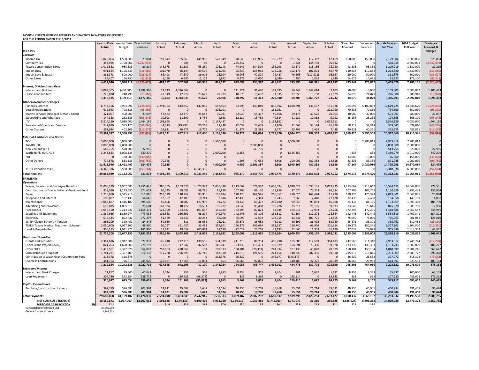## **MONTHLY STATEMENT OF RECEIPTS AND PAYENTS BY NATURE OF EXPENSE FOR THE PERIOD ENDED 31/10/2014**

|                                                        | Year to Date Year to Date |               | <b>Year to Date</b> | January        | February       | March     | April     | May           | June      | July        | August     | September      | October   | November    | December  | <b>Actual+Forecast</b> | 2014 Budget      | Variance      |
|--------------------------------------------------------|---------------------------|---------------|---------------------|----------------|----------------|-----------|-----------|---------------|-----------|-------------|------------|----------------|-----------|-------------|-----------|------------------------|------------------|---------------|
|                                                        | Actual                    | <b>Budget</b> | Variance            | Actual         | Actual         | Actual    | Actual    | Actual        | Actual    | Actual      | Actual     | Actual         | Actual    | Forecast    | Forecast  | <b>Full Year</b>       | <b>Full Year</b> | Forecast &    |
| <b>RECEIPTS</b>                                        |                           |               |                     |                |                |           |           |               |           |             |            |                |           |             |           |                        |                  | <b>Budget</b> |
| Taxation                                               |                           |               |                     |                |                |           |           |               |           |             |            |                |           |             |           |                        |                  |               |
| Income Tax                                             | 1,829,004                 | 1,500,000     | 329,004             | 157,842        | 135,063        | 141,980   | 527,049   | 178,648       | 139,985   | 166,729     | 121,857    | 117,382        | 142,469   | 150,000     | 150,000   | 2,129,004              | 1,800,000        | 329,004       |
| Company Tax                                            | 458,955                   | 2,700,001     | (2, 241, 046)       | $\mathbf 0$    | 405            | 59        |           | 225,847       |           | - 0         | 1,534      | 134,778        | 96,332    | 0           |           | 458,955                | 2,700,001        | (2,241,046)   |
| <b>Tuvalu Consumption Taxes</b>                        | 1,012,552                 | 983,333       | 29,219              | 143,375        | 51,189         | 65,250    | 126,143   | 74,141        | 134,510   | 132,098     | 92,579     | 118,186        | 75,080    | 98,333      | 98,333    | 1,209,219              | 1,180,000        | 29,219        |
| <b>Import Duty</b>                                     | 991,654                   | 1,108,333     | (116, 680)          | 101,370        | 66,144         | 89,509    | 111,093   | 95,839        | 123,913   | 112,258     | 102,176    | 102,873        | 86,479    | 110,833     | 110,833   | 1,213,320              | 1,330,000        | (116, 680)    |
| Import Levy & Excise                                   | 261,373                   | 500,000       | (238, 627)          | 55,403         | 47,870         | 36,013    | 26,994    | 49,948        | 42,524    | 22,487      | 76,268     | (112, 821)     | 16,687    | 50,000      | 50,000    | 361,373                | 600,000          | (238, 627)    |
| <b>Other Taxes</b>                                     | 64,407                    | 146,750       | (82, 343)           | 5,198          | 6,690          | 11,124    | 9,892     | 9,271         | 10,050    | 2,040       | 1,480      | 7,522          | 1,140     | 14,675      | 14,675    | 93,757                 | 176,100          | (82, 343)     |
|                                                        | 4,617,946                 | 6,938,418     | (2,320,472          | 463,187        | 307,361        | 343,935   | 801,172   | 633,694       | 450,982   | 435,612     | 395,895    | 367,921        | 418,187   | 423,842     | 423,842   | 5,465,629              | 7,786,101        | (2,320,472)   |
| <b>Interest, Dividends and Rent</b>                    |                           |               |                     |                |                |           |           |               |           |             |            |                |           |             |           |                        |                  |               |
| <b>Interest and Dividends</b>                          | 3,089,305                 | (400,000)     | 3,489,305           | 12,743         | 1,326,564      |           |           | 121,721       | 31,620    | 189,595     | 56,344     | 1,348,614      | 2,103     | 10,000      | 10,000    | 3,109,305              | 2,003,862        | 1,105,443     |
| Lease, rent and hire                                   | 228,830                   | 240,790       | (11,960)            | 22,949         | 17,972         | 23,679    | 29,985    | 18,576        | 19,692    | 31,335      | 27,856     | 15,158         | 21,629    | 24,079      | 24,079    | 276,988                | 288,948          | (11,960)      |
|                                                        | 3,318,135                 | (159, 210)    | 3,477,345           | 35,692         | 1,344,535      | 23,679    | 29,986    | 140,297       | 51,313    | 220,930     | 84,200     | 1,363,772      | 23,732    | 34,079      | 34,079    | 3,386,293              | 2,292,810        | 1,093,483     |
| <b>Other Government Charges</b>                        |                           |               |                     |                |                |           |           |               |           |             |            |                |           |             |           |                        |                  |               |
| <b>Fisheries Licenses</b>                              | 6,734,196                 | 7,963,091     | (1, 228, 895)       | 2,294,153      | 612,857        | 147,019   | 552,853   | 33,598        | 140,848   | 835,992     | 1,828,894  | 136,597        | 151,386   | 784,695     | 5,100,833 | 12,619,725             | 13,848,620       | (1, 228, 895) |
| <b>Vessel Registrations</b>                            | 612,943                   | 708,333       | (95, 391)           | $\Omega$       | $\Omega$       |           | 208,101   | $\mathbf{0}$  |           | 181,051     | 0          |                | 223,790   | 70,833      | 70,833    | 754,609                | 850,000          | (95, 391)     |
| Marine Services (Nivaga II & Manu Folau)               | 421,097                   | 400,000       | 21,097              | 57,483         | 42,479         | 24,642    | 39,031    | 42,029        | 55,417    | 40,408      | 59,178     | 30,526         | 29,903    | 40,000      | 40,000    | 501,097                | 480,000          | 21,097        |
| Stevedoring and Wharfage                               | 144,338                   | 252,583       | (108, 245)          | 10,803         | 11,800         | 8,755     | 9,553     | 12,187        | 18,783    | 40,534      | 11,989     | 10,882         | 9,052     | 25,258      | 25,258    | 194,855                | 303,100          | (108, 245)    |
| .TV                                                    | 5,514,159                 | 4,050,000     | 1,464,159           | 1,199,898      | $\overline{0}$ |           | 1,157,487 | -0            |           | 1,133,862   | 0          |                | 2,022,911 | - 0         |           | 5,514,159              | 4,050,000        | 1,464,159     |
| Provision of Goods and Services                        | 242,910                   | 583,175       | (340, 265)          | 44,313         | (29, 997)      | 20,268    | 23,348    | 27,032        | 23,658    | 33,806      | 21,063     | 53,124         | 26,296    | 58,318      | 58,318    | 359,545                | 699,810          | (340, 265)    |
| <b>Other Charges</b>                                   | 292,934                   | 403,209       | (110, 276)          | 16,881         | 20,675         | 16,716    | 140,963   | 31,876        | 23,388    | 9,772       | 23,797     | 1,429          | 7,438     | 40,321      | 40,321    | 373,575                | 483,851          | (110, 276)    |
|                                                        | 13,962,577                | 14,360,393    | (397, 816)          | 3,623,531      | 657,814        | 217,400   | 2,131,336 | 146,721       | 262,094   | 2,275,426   | 1,944,920  | 232,559        | 2,470,777 | 1,019,425   | 5,335,563 | 20,317,566             | 20,715,381       | (397, 816)    |
| <b>External Assistance and Grants</b><br><b>ROC</b>    | 5,000,000                 | 5,000,000     |                     | $\Omega$       | $\Omega$       |           | ,500,000  | $\mathbf{0}$  |           | $\Omega$    | 2,500,000  |                |           |             | 2,983,819 | 7,983,819              | 7,983,819        | $\Omega$      |
|                                                        |                           |               |                     |                |                |           |           |               |           |             |            |                |           |             |           |                        |                  |               |
| AusAID (CIF)                                           | 2,000,000                 | 2,000,000     |                     |                |                |           |           | $\Omega$      | 2,000,000 |             |            |                |           |             |           | 2,000,000              | 2,000,000        |               |
| New Zealand (CIF)                                      | 543,755                   | 520,800       | 22,955              |                |                |           |           | $\Omega$      | 543,755   |             |            |                |           |             |           | 543,755                | 520,800          | 22,955        |
| World Bank, IMF, ADB                                   | 3,348,613                 | 3,008,333     | 340,279             |                | $\Omega$       |           | 2,000,000 | 3,253         |           | $\Omega$    | 1,345,359  |                |           | 833         | 833       | 3,350,279              | 3,010,000        | 340,279       |
| <b>PDF</b>                                             | $\Omega$                  | 130,000       | (130,000)           | $\Omega$       | $\Omega$       |           | -0        | $\mathbf{0}$  |           | $\Omega$    | $\Omega$   |                |           | 13,000      | 13,000    | 26,000                 | 156,000          | (130,000)     |
| <b>Other Donors</b>                                    | 724,578                   | 833,333       | (108, 755)          | 70,325         | $\Omega$       |           | $\Omega$  | 1.205         | 47,632    | 3,506       | 100,002    | 487,352        | 14,556    | 83,333      | 83,333    | 891,245                | 1,000,000        | (108, 755)    |
|                                                        | 11,616,946                | 11,492,467    | 124,479             | 70,325         | $\mathbf{0}$   |           | 4,500,000 | 4,459         | 2,591,387 | 3,506       | 3,945,362  | 487,352        | 14,556    | 97,167      | 3,080,986 | 14,795,098             | 14,670,619       | 124,479       |
| TTF Distribution to CIF                                | 6,348,336                 | 6,500,000     | (151, 664)          | $\Omega$       | $\Omega$       | 6,348,336 | $\Omega$  | $\Omega$      |           | $\Omega$    | C          |                |           |             |           | 6,348,336              | 6,500,000        | (151, 664)    |
| <b>Total Receipts</b>                                  | 39,863,939                | 39,132,067    | 731,872             | 4,192,734      | 2,309,710      | 6,933,349 | 7,462,493 | 925,170       | 3,355,776 | 2,935,474   | 6,370,377  | 2,451,604      | 2,927,252 | 1,574,513   | 8,874,470 | 50,312,921             | 51,964,911       | (1,651,990)   |
| <b>PAYMENTS</b>                                        |                           |               |                     |                |                |           |           |               |           |             |            |                |           |             |           |                        |                  |               |
| <b>Operations</b>                                      |                           |               |                     |                |                |           |           |               |           |             |            |                |           |             |           |                        |                  |               |
| Wages, Salaries, and Employee Benefits                 | 11,006,239                | 14,957,685    | 3,951,445           | 986,355        | 1,103,078      | 1,070,399 | 1,030,498 | 1,213,667     | 1,074,347 | 1,600,394   | 1,038,024  | 1,033,135      | 1,007,225 | 1,213,667   | 1,213,667 | 13,584,455             | 14,564,006       | 979,551       |
| <b>Contributions to Tuvalu National Provident Fund</b> | 919,016                   | 1,293,630     | 374,614             | 96,245         | 88,082         | 88,786    | 85,828    | 107,703       | 89,126    | 131,856     | 87,670     | 77,343         | 86,584    | 107,703     | 107,703   | 1,154,629              | 1,292,433        | 137,804       |
| Travel                                                 | 1,710,650                 | 2,325,716     | 615,066             | 218,529        | 110,252        | 83,956    | 155,674   | 170,323       | 167,526   | 216,352     | 280,026    | 168,424        | 111,296   | 170,323     | 170,323   | 2,023,001              | 2,043,865        | 20,864        |
| Telephone and Internet                                 | 108,087                   | 162,133       | 54,046              | 13,367         | 12,103         | 10,741    | 7,616     | 12,430        | 7,314     | 8,743       | 7,566      | 7,440          | 22,178    | 12,430      | 12,430    | 134,358                | 149,159          | 14,801        |
| Maintenance                                            | 1,047,687                 | 1,446,187     | 398,500             | 45,496         | 98,707         | 127,997   | 91,222    | 84,135        | 65,477    | 268,480     | 99,055     | 99,033         | 45,698    | 84,135      | 84,135    | 1,193,569              | 1,299,368        | 105,799       |
| <b>Advertising and Provisions</b>                      | 690,015                   | 1,065,619     | 375,604             | 141,934        | 18,777         | 16,531    | 95,777    | 73,646        | 95,488    | 165,226     | 35,211     | 26,105         | 59,833    | 73,646      | 73,646    | 875,820                | 883,750          | 7,930         |
| Fuel and Oil                                           | 1,059,150                 | 2,213,521     | 1,154,371           | 123,999        | 123,332        | 107,657   | 145,184   | 172,295       | 87,824    | 63,035      | 164,912    | 12,993         | 72,766    | 172,295     | 172,295   | 1,418,586              | 2,067,542        | 648,956       |
| Supplies and Equipment                                 | 1,360,936                 | 1,839,974     | 479,038             | 102,568        | 256,399        | 66,294    | 149,973   | 142,445       | 59,116    | 185,512     | 61,164     | 117,274        | 128,884   | 142,445     | 142,445   | 1,554,519              | 1,709,341        | 154,823       |
| Electricity                                            | 615,444                   | 892,741       | 277,297             | 51,569         | 63,330         | 30,243    | 58,050    | 75,090        | 12,639    | 108,755     | 42,231     | 109,721        | 73,455    | 75,090      | 75,090    | 775,263                | 901,082          | 125,819       |
| Senior Citizen Scheme / Pension                        | 286,209                   | 310,452       | 24,243              | 50,880         | 811            | 26,081    | 26,011    | 25,871        | 26,682    | 42,012      | 10,190     | 26,402         | 52,080    | 25,871      | 25,871    | 338,762                | 310,452          | (28, 310)     |
| <b>TMTS (Tuvalu Medical Treatment Scheme)</b>          | 2,050,600                 | 2,097,500     | 46,900              | 90,767         | 451,437        | 83,452    | 257,601   | 150,375       | 107,654   | 393,157     | 110,740    | 69,976         | 301,954   | 150,375     | 150,375   | 2,317,861              | 1,804,500        | (513, 361)    |
| Land & Property Rent                                   | 900,173                   | 1,041,973     | 141,800             | 28,631         | 19,059         | 705,884   | 28,199    | 27,029        | 20,265    | 22,133      | 12,665     | 11,333         | 36,129    | 27,029      | 27,029    | 965,386                | 1,014,353        | 48,967        |
|                                                        | 21,754,208                | 29,647,131    | 7,892,923           | 1,950,339      | 2,345,365      | 2,418,021 | 2,131,632 | 2,255,009     | 1,813,459 | 3,205,654   | 1,949,454  | 1,759,179      | 1,998,081 | 2,255,009   | 2,255,009 | 26,336,210             | 28,039,852       | 1,703,642     |
| <b>Grants and Subsidies</b>                            |                           |               |                     |                |                |           |           |               |           |             |            |                |           |             |           |                        |                  |               |
| <b>Grants and Subsidies</b>                            | 2,384,676                 | 2,912,608     | 527,932             | 126,240        | 222,215        | 130,555   | 534,919   | 211,310       | 86,234    | 466,298     | 155,088    | 212,599        | 364,183   | 242,560     | 211,310   | 2,963,512              | 2,745,724        | (217, 788)    |
| Outer Island Projects (SDE)                            | 821,203                   | 1,600,000     | 778,797             | 12,887         | 47,247         | 42,563    | 146,611   | 133,333       | 118,483   | 160,979     | 154,694    | 70,390         | 39,878    | 133,333     | 133,333   | 1,193,733              | 1,600,000        | 406,267       |
| Other SDEs                                             | 1,472,501                 | 2,327,328     | 854,827             | 253,803        | 428,568        | 151       | 199,573   | 150,104       | (28, 397) | 244,394     | 181,438    | 40,078         | 70,679    | 150,104     | 150,104   | 1,840,599              | 2,201,246        | 360,647       |
| Scholarships and Support                               | 1,741,271                 | 2,357,409     | 616,138             | 111,788        | 226,995        | 232,740   | 143,130   | 215,815       | 194,555   | 221,164     | 148,246    | 287,336        | 79,910    | 215,815     | 215,815   | 2,293,309              | 2,589,777        | 296,468       |
| Contribution to Japan Grant Counterpart Fund           | 318,378                   | 318,378       |                     | $\overline{0}$ | $\overline{0}$ |           | 318,378   | 26,532        |           | 345,177     | (345, 177) | $\overline{0}$ |           | 26,532      | 26,532    | 397,972                | 318,378          | (79, 594)     |
| <b>Overseas Contributions</b>                          | 481,794                   | 726,815       | 245,020             | 122,827        | 17,268         | 11,091    | 653       | 26,963        | 97,872    | $\Omega$    | 140,489    | 22,371         | 20,939    | 26,963      | 26,963    | 514,397                | 623,551          | 109,154       |
|                                                        | 7,219,824                 | 10,242,538    | 3,022,714           | 627,545        | 942,293        | 417,100   | 1,343,264 | 764,056       | 468,747   | 1,438,012   | 434,778    | 632,774        | 575,590   | 795,306     | 764,056   | 9,203,522              | 10,078,676       | 875,154       |
| <b>Loans and Interest</b>                              |                           |               |                     |                |                |           |           |               |           |             |            |                |           |             |           |                        |                  |               |
| <b>Interest and Bank Charges</b>                       | 11,857                    | 79,500        | 67,643              | 1,344          | 956            | 559       | 1,913     | 8,333         | 952       | 1,404       | 901        | 1,627          | 1,182     | 8,333       | 8,333     | 35,837                 | 100,000          | 64,163        |
| Loan Repayment                                         | 304,780                   | 593,554       | 288,775             | $\sqrt{ }$     | 150,233        | (96, 376) |           | 833           | 8,866     |             | 158,514    | $\overline{0}$ | 83,543    | 833         | 833       | 307,280                | 483,602          | 176,322       |
|                                                        | 316,637                   | 673,054       | 356,418             | 1,344          | 151,188        | (95, 817) | 1,913     | 9,167         | 9,818     | 1,404       | 159,415    | 1,627          | 84,725    | 9,167       | 9,167     | 343,117                | 583,602          | 240,485       |
| <b>Capital Expenditures</b>                            |                           |               |                     |                |                |           |           |               |           |             |            |                |           |             |           |                        |                  |               |
| Purchase/construction of assets                        | 392,399                   | 596,383       | 203,984             | 14,821         | 45,002         | 3,641     | 53,524    | 40,955        | 10,268    | 35,468      | 55,651     | 26,714         | 33,031    | 40,955      | 40,955    | 400,984                | 491,458          | 90,474        |
|                                                        | 392,399                   | 596,383       | 203,984             | 14,821         | 45,002         | 3,641     | 53,524    | 40,955        | 10,268    | 35,468      | 55,651     | 26,714         | 33,031    | 40,955      | 40,955    | 400,984                | 491,458          | 90,474        |
| <b>Total Payments</b>                                  | 29,683,068                | 41,159,107    | 11,476,039          | 2,594,048      | 3,483,849      | 2,742,945 | 3,530,333 | 3,069,187     | 2,302,292 | 4,680,537   | 2,599,298  | 2,420,294      | 2,691,427 | 3,100,437   | 3,069,187 | 36,283,832             | 39,193,588       | 2,909,755     |
| <b>NET SURPLUS / (DEFICIT)</b>                         | 10,180,871                | (2,027,040)   | 12,207,911          | 1,598,686      | (1, 174, 139)  | 4,190,404 | 3,932,160 | (2, 144, 017) | 1,053,484 | (1,745,063) | 3,771,079  | 31,310         | 235,825   | (1,525,924) | 5,805,283 | 14,029,089             | 12,771,324       | 1,257,765     |
| <b>FORECAST CASH POSITION</b>                          | <u>\$M</u><br>22.1        |               |                     | 31.6           | 30.0           | 31.2      | 27.0      | 23.1          | 25.2      | 24.2        | 25.9       | 22.1           | 22.1      | 20.6        | 26.4      |                        |                  |               |
| <b>Consolidated Investment Fund</b>                    | 20,365,919                |               |                     |                |                |           |           |               |           |             |            |                |           |             |           |                        |                  |               |
| <b>General Current Account</b>                         | 1,749,722                 |               |                     |                |                |           |           |               |           |             |            |                |           |             |           |                        |                  |               |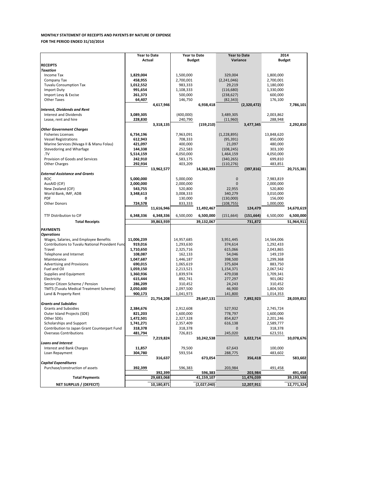|                                                 | <b>Year to Date</b> |            | <b>Year to Date</b> |            | <b>Year to Date</b> |             | 2014          |            |
|-------------------------------------------------|---------------------|------------|---------------------|------------|---------------------|-------------|---------------|------------|
| <b>RECEIPTS</b>                                 | Actual              |            | <b>Budget</b>       |            | Variance            |             | <b>Budget</b> |            |
| <b>Taxation</b>                                 |                     |            |                     |            |                     |             |               |            |
| Income Tax                                      | 1,829,004           |            | 1,500,000           |            | 329,004             |             | 1,800,000     |            |
| Company Tax                                     | 458,955             |            | 2,700,001           |            | (2,241,046)         |             | 2,700,001     |            |
| <b>Tuvalu Consumption Tax</b>                   | 1,012,552           |            | 983,333             |            | 29,219              |             | 1,180,000     |            |
| <b>Import Duty</b>                              | 991,654             |            | 1,108,333           |            | (116, 680)          |             | 1,330,000     |            |
| Import Levy & Excise                            | 261,373             |            | 500,000             |            | (238, 627)          |             | 600,000       |            |
| <b>Other Taxes</b>                              | 64,407              |            | 146,750             |            | (82, 343)           |             | 176,100       |            |
|                                                 |                     | 4,617,946  |                     | 6,938,418  |                     | (2,320,472) |               | 7,786,101  |
| <b>Interest, Dividends and Rent</b>             |                     |            |                     |            |                     |             |               |            |
| Interest and Dividends                          | 3,089,305           |            | (400,000)           |            | 3,489,305           |             | 2,003,862     |            |
| Lease, rent and hire                            | 228,830             |            | 240,790             |            | (11,960)            |             | 288,948       |            |
|                                                 |                     | 3,318,135  |                     | (159, 210) |                     | 3,477,345   |               | 2,292,810  |
| <b>Other Government Charges</b>                 |                     |            |                     |            |                     |             |               |            |
| <b>Fisheries Licenses</b>                       | 6,734,196           |            | 7,963,091           |            | (1,228,895)         |             | 13,848,620    |            |
| <b>Vessel Registrations</b>                     | 612,943             |            | 708,333             |            | (95, 391)           |             | 850,000       |            |
| Marine Services (Nivaga II & Manu Folau)        | 421,097             |            | 400,000             |            | 21,097              |             | 480,000       |            |
| Stevedoring and Wharfage                        | 144,338             |            | 252,583             |            | (108, 245)          |             | 303,100       |            |
| .TV                                             | 5,514,159           |            | 4,050,000           |            | 1,464,159           |             | 4,050,000     |            |
| Provision of Goods and Services                 | 242,910             |            | 583,175             |            | (340, 265)          |             | 699,810       |            |
| <b>Other Charges</b>                            | 292,934             |            | 403,209             |            | (110, 276)          |             | 483,851       |            |
|                                                 |                     | 13,962,577 |                     | 14,360,393 |                     | (397, 816)  |               | 20,715,381 |
| <b>External Assistance and Grants</b>           |                     |            |                     |            |                     |             |               |            |
| <b>ROC</b>                                      | 5,000,000           |            | 5,000,000           |            | $\mathbf 0$         |             | 7,983,819     |            |
| AusAID (CIF)                                    | 2,000,000           |            | 2,000,000           |            | 0                   |             | 2,000,000     |            |
| New Zealand (CIF)                               | 543,755             |            | 520,800             |            | 22,955              |             | 520,800       |            |
| World Bank, IMF, ADB                            | 3,348,613           |            | 3,008,333           |            | 340,279             |             | 3,010,000     |            |
| <b>PDF</b>                                      | 0                   |            | 130,000             |            | (130,000)           |             | 156,000       |            |
| <b>Other Donors</b>                             | 724,578             |            | 833,333             |            | (108, 755)          |             | 1,000,000     |            |
|                                                 |                     | 11,616,946 |                     | 11,492,467 |                     | 124,479     |               | 14,670,619 |
| <b>TTF Distribution to CIF</b>                  | 6,348,336           | 6,348,336  | 6,500,000           | 6,500,000  | (151, 664)          | (151, 664)  | 6,500,000     | 6,500,000  |
|                                                 |                     |            |                     |            |                     |             |               |            |
| <b>Total Receipts</b>                           |                     | 39,863,939 |                     | 39,132,067 |                     | 731,872     |               | 51,964,911 |
| <b>PAYMENTS</b>                                 |                     |            |                     |            |                     |             |               |            |
| <b>Operations</b>                               |                     |            |                     |            |                     |             |               |            |
| Wages, Salaries, and Employee Benefits          | 11,006,239          |            | 14,957,685          |            | 3,951,445           |             | 14,564,006    |            |
| Contributions to Tuvalu National Provident Fund | 919,016             |            | 1,293,630           |            | 374,614             |             | 1,292,433     |            |
| Travel                                          | 1,710,650           |            | 2,325,716           |            | 615,066             |             | 2,043,865     |            |
| Telephone and Internet                          | 108,087             |            | 162,133             |            | 54,046              |             | 149,159       |            |
| Maintenance                                     | 1,047,687           |            | 1,446,187           |            | 398,500             |             | 1,299,368     |            |
| <b>Advertising and Provisions</b>               | 690,015             |            | 1,065,619           |            | 375,604             |             | 883,750       |            |
| Fuel and Oil                                    | 1,059,150           |            | 2,213,521           |            | 1,154,371           |             | 2,067,542     |            |
| Supplies and Equipment                          | 1,360,936           |            | 1,839,974           |            | 479,038             |             | 1,709,341     |            |
| Electricity                                     | 615,444             |            | 892,741             |            | 277,297             |             | 901,082       |            |
| Senior Citizen Scheme / Pension                 | 286,209             |            | 310,452             |            | 24,243              |             | 310,452       |            |
| TMTS (Tuvalu Medical Treatment Scheme)          | 2,050,600           |            | 2,097,500           |            | 46,900              |             | 1,804,500     |            |
| Land & Property Rent                            | 900,173             |            | 1,041,973           |            | 141,800             |             | 1,014,353     |            |
|                                                 |                     | 21,754,208 |                     | 29,647,131 |                     | 7,892,923   |               | 28,039,852 |
| <b>Grants and Subsidies</b>                     |                     |            |                     |            |                     |             |               |            |
| <b>Grants and Subsidies</b>                     | 2,384,676           |            | 2,912,608           |            | 527,932             |             | 2,745,724     |            |
| Outer Island Projects (SDE)                     | 821,203             |            | 1,600,000           |            | 778,797             |             | 1,600,000     |            |
| Other SDEs                                      | 1,472,501           |            | 2,327,328           |            | 854,827             |             | 2,201,246     |            |
| Scholarships and Support                        | 1,741,271           |            | 2,357,409           |            | 616,138             |             | 2,589,777     |            |
| Contribution to Japan Grant Counterpart Fund    | 318,378             |            | 318,378             |            | 0                   |             | 318,378       |            |
| <b>Overseas Contributions</b>                   | 481,794             |            | 726,815             |            | 245,020             |             | 623,551       |            |
|                                                 |                     | 7,219,824  |                     | 10,242,538 |                     | 3,022,714   |               | 10,078,676 |
| <b>Loans and Interest</b>                       |                     |            |                     |            |                     |             |               |            |
| Interest and Bank Charges                       | 11,857              |            | 79,500              |            | 67,643              |             | 100,000       |            |
| Loan Repayment                                  | 304,780             |            | 593,554             |            | 288,775             |             | 483,602       |            |
|                                                 |                     | 316,637    |                     | 673,054    |                     | 356,418     |               | 583,602    |
| <b>Capital Expenditures</b>                     |                     |            |                     |            |                     |             |               |            |
| Purchase/construction of assets                 | 392,399             |            | 596,383             |            | 203,984             |             | 491,458       |            |
|                                                 |                     | 392,399    |                     | 596,383    |                     | 203,984     |               | 491,458    |
|                                                 |                     |            |                     |            |                     |             |               |            |
| <b>Total Payments</b>                           |                     | 29,683,068 |                     | 41,159,107 |                     | 11,476,039  |               | 39,193,588 |

# **MONTHLY STATEMENT OF RECEIPTS AND PAYENTS BY NATURE OF EXPENSE FOR THE PERIOD ENDED 31/10/2014**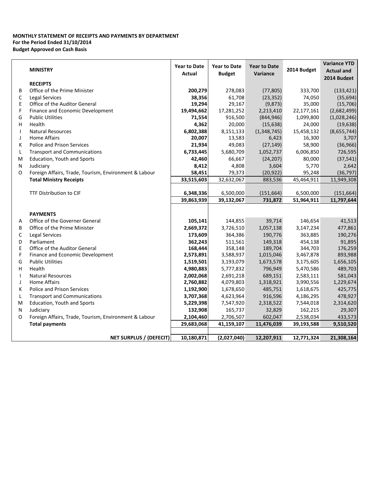# **MONTHLY STATEMENT OF RECEIPTS AND PAYMENTS BY DEPARTMENT For the Period Ended 31/10/2014 Budget Approved on Cash Basis**

|              |                                                       | <b>Year to Date</b> | <b>Year to Date</b> | <b>Year to Date</b><br><b>Variance</b> |             | <b>Variance YTD</b> |
|--------------|-------------------------------------------------------|---------------------|---------------------|----------------------------------------|-------------|---------------------|
|              | <b>MINISTRY</b>                                       | Actual              | <b>Budget</b>       |                                        | 2014 Budget | <b>Actual and</b>   |
|              |                                                       |                     |                     |                                        |             | 2014 Budget         |
|              | <b>RECEIPTS</b>                                       |                     |                     |                                        |             |                     |
| B            | Office of the Prime Minister                          | 200,279             | 278,083             | (77, 805)                              | 333,700     | (133, 421)          |
| С            | <b>Legal Services</b>                                 | 38,356              | 61,708              | (23, 352)                              | 74,050      | (35, 694)           |
| E            | Office of the Auditor General                         | 19,294              | 29,167              | (9,873)                                | 35,000      | (15,706)            |
| F            | Finance and Economic Development                      | 19,494,662          | 17,281,252          | 2,213,410                              | 22,177,161  | (2,682,499)         |
| G            | <b>Public Utilities</b>                               | 71,554              | 916,500             | (844, 946)                             | 1,099,800   | (1,028,246)         |
| н            | Health                                                | 4,362               | 20,000              | (15, 638)                              | 24,000      | (19, 638)           |
| $\mathbf{I}$ | <b>Natural Resources</b>                              | 6,802,388           | 8,151,133           | (1,348,745)                            | 15,458,132  | (8,655,744)         |
| J            | <b>Home Affairs</b>                                   | 20,007              | 13,583              | 6,423                                  | 16,300      | 3,707               |
| K            | <b>Police and Prison Services</b>                     | 21,934              | 49,083              | (27, 149)                              | 58,900      | (36, 966)           |
| L            | <b>Transport and Communications</b>                   | 6,733,445           | 5,680,709           | 1,052,737                              | 6,006,850   | 726,595             |
| м            | <b>Education, Youth and Sports</b>                    | 42,460              | 66,667              | (24, 207)                              | 80,000      | (37, 541)           |
| N            | Judiciary                                             | 8,412               | 4,808               | 3,604                                  | 5,770       | 2,642               |
| 0            | Foreign Affairs, Trade, Tourism, Environment & Labour | 58,451              | 79,373              | (20, 922)                              | 95,248      | (36, 797)           |
|              | <b>Total Ministry Receipts</b>                        | 33,515,603          | 32,632,067          | 883,536                                | 45,464,911  | 11,949,308          |
|              |                                                       |                     |                     |                                        |             |                     |
|              | <b>TTF Distribution to CIF</b>                        | 6,348,336           | 6,500,000           | (151, 664)                             | 6,500,000   | (151, 664)          |
|              |                                                       | 39,863,939          | 39,132,067          | 731,872                                | 51,964,911  | 11,797,644          |
|              |                                                       |                     |                     |                                        |             |                     |
|              | <b>PAYMENTS</b>                                       |                     |                     |                                        |             |                     |
| Α            | Office of the Governer General                        | 105,141             | 144,855             | 39,714                                 | 146,654     | 41,513              |
| B            | Office of the Prime Minister                          | 2,669,372           | 3,726,510           | 1,057,138                              | 3,147,234   | 477,861             |
| C            | <b>Legal Services</b>                                 | 173,609             | 364,386             | 190,776                                | 363,885     | 190,276             |
| D            | Parliament                                            | 362,243             | 511,561             | 149,318                                | 454,138     | 91,895              |
| E            | Office of the Auditor General                         | 168,444             | 358,148             | 189,704                                | 344,703     | 176,259             |
| F            | Finance and Economic Development                      | 2,573,891           | 3,588,937           | 1,015,046                              | 3,467,878   | 893,988             |
| G            | <b>Public Utilities</b>                               | 1,519,501           | 3,193,079           | 1,673,578                              | 3,175,605   | 1,656,105           |
| н            | Health                                                | 4,980,883           | 5,777,832           | 796,949                                | 5,470,586   | 489,703             |
| $\mathbf{I}$ | <b>Natural Resources</b>                              | 2,002,068           | 2,691,218           | 689,151                                | 2,583,111   | 581,043             |
| J            | <b>Home Affairs</b>                                   | 2,760,882           | 4,079,803           | 1,318,921                              | 3,990,556   | 1,229,674           |
| К            | Police and Prison Services                            | 1,192,900           | 1,678,650           | 485,751                                | 1,618,675   | 425,775             |
| L            | <b>Transport and Communications</b>                   | 3,707,368           | 4,623,964           | 916,596                                | 4,186,295   | 478,927             |
| M            | <b>Education, Youth and Sports</b>                    | 5,229,398           | 7,547,920           | 2,318,522                              | 7,544,018   | 2,314,620           |
| N            | Judiciary                                             | 132,908             | 165,737             | 32,829                                 | 162,215     | 29,307              |
| O            | Foreign Affairs, Trade, Tourism, Environment & Labour | 2,104,460           | 2,706,507           | 602,047                                | 2,538,034   | 433,573             |
|              | <b>Total payments</b>                                 | 29,683,068          | 41,159,107          | 11,476,039                             | 39,193,588  | 9,510,520           |
|              |                                                       |                     |                     |                                        |             |                     |
|              | <b>NET SURPLUS / (DEFECIT)</b>                        | 10,180,871          | (2,027,040)         | 12,207,911                             | 12,771,324  | 21,308,164          |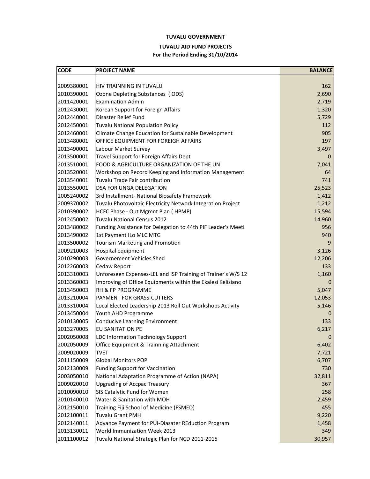# **TUVALU GOVERNMENT**

# **TUVALU AID FUND PROJECTS**

# **For the Period Ending 31/10/2014**

| <b>CODE</b> | <b>PROJECT NAME</b>                                          | <b>BALANCE</b>   |
|-------------|--------------------------------------------------------------|------------------|
|             |                                                              |                  |
| 2009380001  | HIV TRAINNING IN TUVALU                                      | 162              |
| 2010390001  | Ozone Depleting Substances (ODS)                             | 2,690            |
| 2011420001  | <b>Examination Admin</b>                                     | 2,719            |
| 2012430001  | Korean Support for Foreign Affairs                           | 1,320            |
| 2012440001  | Disaster Relief Fund                                         | 5,729            |
| 2012450001  | <b>Tuvalu National Population Policy</b>                     | 112              |
| 2012460001  | Climate Change Education for Sustainable Development         | 905              |
| 2013480001  | OFFICE EQUIPMENT FOR FOREIGH AFFAIRS                         | 197              |
| 2013490001  | Labour Market Survey                                         | 3,497            |
| 2013500001  | Travel Support for Foreign Affairs Dept                      | 0                |
| 2013510001  | FOOD & AGRICULTURE ORGANIZATION OF THE UN                    | 7,041            |
| 2013520001  | Workshop on Record Keeping and Information Management        | 64               |
| 2013540001  | Tuvalu Trade Fair contribution                               | 741              |
| 2013550001  | <b>DSA FOR UNGA DELEGATION</b>                               | 25,523           |
| 2005240002  | 3rd Installment- National Biosafety Framework                | 1,412            |
| 2009370002  | Tuvalu Photovoltaic Electricity Network Integration Project  | 1,212            |
| 2010390002  | HCFC Phase - Out Mgmnt Plan (HPMP)                           | 15,594           |
| 2012450002  | <b>Tuvalu National Census 2012</b>                           | 14,960           |
| 2013480002  | Funding Assistance for Delegation to 44th PIF Leader's Meeti | 956              |
| 2013490002  | 1st Payment ILo MLC MTG                                      | 940              |
| 2013500002  | <b>Tourism Marketing and Promotion</b>                       | 9                |
| 2009210003  | Hospital equipment                                           | 3,126            |
| 2010290003  | <b>Governement Vehicles Shed</b>                             | 12,206           |
| 2012260003  | Cedaw Report                                                 | 133              |
| 2013310003  | Unforeseen Expenses-LEL and ISP Training of Trainer's W/S 12 | 1,160            |
| 2013360003  | Improving of Office Equipments within the Ekalesi Kelisiano  | 0                |
| 2013450003  | <b>RH &amp; FP PROGRAMME</b>                                 | 5,047            |
| 2013210004  | PAYMENT FOR GRASS-CUTTERS                                    | 12,053           |
| 2013310004  | Local Elected Leadership 2013 Roll Out Workshops Activity    | 5,146            |
| 2013450004  | Youth AHD Programme                                          | $\boldsymbol{0}$ |
| 2010130005  | <b>Conducive Learning Environment</b>                        | 133              |
| 2013270005  | <b>EU SANITATION PE</b>                                      | 6,217            |
| 2002050008  | <b>LDC Information Technology Support</b>                    |                  |
| 2002050009  | Office Equipment & Trainning Attachment                      | 6,402            |
| 2009020009  | <b>TVET</b>                                                  | 7,721            |
| 2011150009  | <b>Global Monitors POP</b>                                   | 6,707            |
| 2012130009  | <b>Funding Support for Vaccination</b>                       | 730              |
| 2003050010  | National Adaptation Programme of Action (NAPA)               | 32,811           |
| 2009020010  | <b>Upgrading of Accpac Treasury</b>                          | 367              |
| 2010090010  | SIS Catalytic Fund for Women                                 | 258              |
| 2010140010  | Water & Sanitation with MOH                                  | 2,459            |
| 2012150010  | Training Fiji School of Medicine (FSMED)                     | 455              |
| 2012100011  | <b>Tuvalu Grant PMH</b>                                      | 9,220            |
| 2012140011  | Advance Payment for PUI-Diasater REduction Program           | 1,458            |
| 2013130011  | World Immunization Week 2013                                 | 349              |
| 2011100012  | Tuvalu National Strategic Plan for NCD 2011-2015             | 30,957           |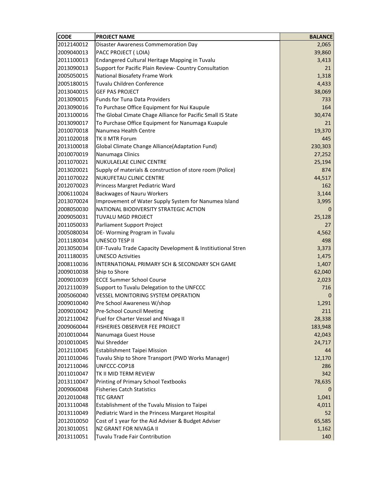| <b>CODE</b> | <b>PROJECT NAME</b>                                          | <b>BALANCE</b> |
|-------------|--------------------------------------------------------------|----------------|
| 2012140012  | <b>Disaster Awareness Commemoration Day</b>                  | 2,065          |
| 2009040013  | PACC PROJECT (LOIA)                                          | 39,860         |
| 2011100013  | Endangered Cultural Heritage Mapping in Tuvalu               | 3,413          |
| 2013090013  | Support for Pacific Plain Review- Country Consultation       | 21             |
| 2005050015  | National Biosafety Frame Work                                | 1,318          |
| 2005180015  | Tuvalu Children Conference                                   | 4,433          |
| 2013040015  | <b>GEF PAS PROJECT</b>                                       | 38,069         |
| 2013090015  | <b>Funds for Tuna Data Providers</b>                         | 733            |
| 2013090016  | To Purchase Office Equipment for Nui Kaupule                 | 164            |
| 2013100016  | The Global Cimate Chage Alliance for Pacific Small IS State  | 30,474         |
| 2013090017  | To Purchase Office Equipment for Nanumaga Kuapule            | 21             |
| 2010070018  | Nanumea Health Centre                                        | 19,370         |
| 2011020018  | <b>TK II MTR Forum</b>                                       | 445            |
| 2013100018  | <b>Global Climate Change Alliance (Adaptation Fund)</b>      | 230,303        |
| 2010070019  | Nanumaga Clinics                                             | 27,252         |
| 2011070021  | NUKULAELAE CLINIC CENTRE                                     | 25,194         |
| 2013020021  | Supply of materials & construction of store room (Police)    | 874            |
| 2011070022  | <b>NUKUFETAU CLINIC CENTRE</b>                               | 44,517         |
| 2012070023  | Princess Margret Pediatric Ward                              | 162            |
| 2006110024  | <b>Backwages of Nauru Workers</b>                            | 3,144          |
| 2013070024  | Improvement of Water Supply System for Nanumea Island        | 3,995          |
| 2008050030  | NATIONAL BIODIVERSITY STRATEGIC ACTION                       | 0              |
| 2009050031  | <b>TUVALU MGD PROJECT</b>                                    | 25,128         |
| 2011050033  | Parliament Support Project                                   | 27             |
| 2005080034  | DE-Worming Program in Tuvalu                                 | 4,562          |
| 2011180034  | <b>UNESCO TESP II</b>                                        | 498            |
| 2013050034  | EIF-Tuvalu Trade Capacity Development & Institiutional Stren | 3,373          |
| 2011180035  | <b>UNESCO Activities</b>                                     | 1,475          |
| 2008110036  | INTERNATIONAL PRIMARY SCH & SECONDARY SCH GAME               | 1,407          |
| 2009010038  | Ship to Shore                                                | 62,040         |
| 2009010039  | <b>ECCE Summer School Course</b>                             | 2,023          |
| 2012110039  | Support to Tuvalu Delegation to the UNFCCC                   | 716            |
| 2005060040  | <b>VESSEL MONITORING SYSTEM OPERATION</b>                    | 0              |
| 2009010040  | Pre School Awareness W/shop                                  | 1,291          |
| 2009010042  | <b>Pre-School Council Meeting</b>                            | 211            |
| 2012110042  | Fuel for Charter Vessel and Nivaga II                        | 28,338         |
| 2009060044  | FISHERIES OBSERVER FEE PROJECT                               | 183,948        |
| 2010010044  | Nanumaga Guest House                                         | 42,043         |
| 2010010045  | Nui Shredder                                                 | 24,717         |
| 2012110045  | Establishment Taipei Mission                                 | 44             |
| 2011010046  | Tuvalu Ship to Shore Transport (PWD Works Manager)           | 12,170         |
| 2012110046  | UNFCCC-COP18                                                 | 286            |
| 2011010047  | TK II MID TERM REVIEW                                        | 342            |
| 2013110047  | Printing of Primary School Textbooks                         | 78,635         |
| 2009060048  | <b>Fisheries Catch Statistics</b>                            |                |
| 2012010048  | <b>TEC GRANT</b>                                             | 1,041          |
| 2013110048  | Establishment of the Tuvalu Mission to Taipei                | 4,011          |
| 2013110049  | Pediatric Ward in the Princess Margaret Hospital             | 52             |
| 2012010050  | Cost of 1 year for the Aid Adviser & Budget Adviser          | 65,585         |
| 2013010051  | <b>NZ GRANT FOR NIVAGA II</b>                                | 1,162          |
| 2013110051  | Tuvalu Trade Fair Contribution                               | 140            |